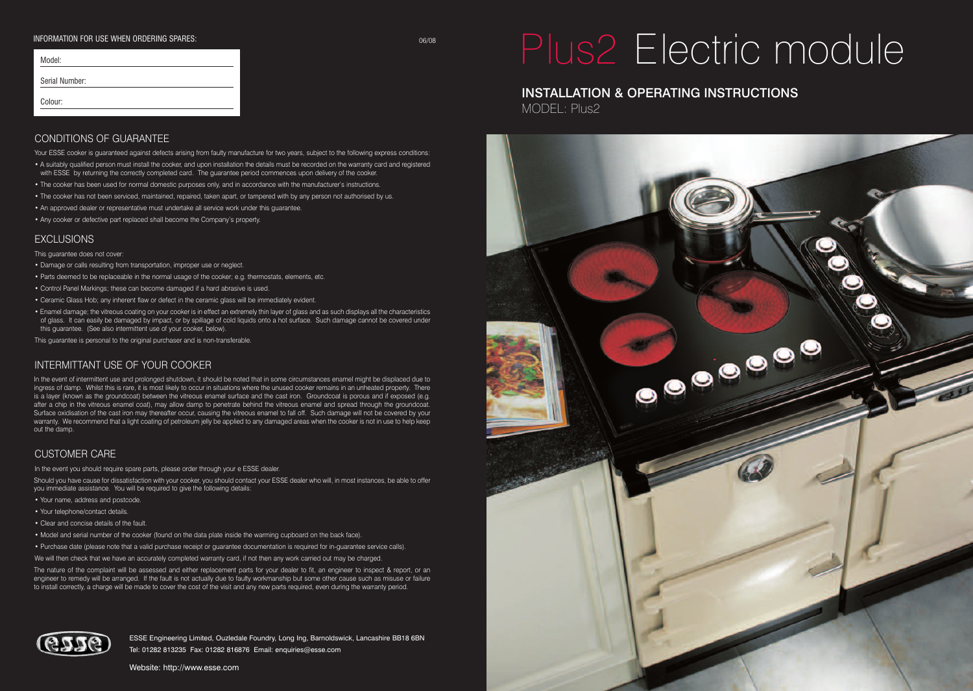#### INFORMATION FOR USE WHEN ORDERING SPARES: 06/08

| Model:         |  |  |
|----------------|--|--|
| Serial Number: |  |  |
| Colour:        |  |  |
|                |  |  |

# CONDITIONS OF GUARANTEE

Your ESSE cooker is quaranteed against defects arising from faulty manufacture for two years, subject to the following express conditions:

- A suitably qualified person must install the cooker, and upon installation the details must be recorded on the warranty card and registered
- with ESSE by returning the correctly completed card. The guarantee period commences upon delivery of the cooker. • The cooker has been used for normal domestic purposes only, and in accordance with the manufacturer's instructions.
- The cooker has not been serviced, maintained, repaired, taken apart, or tampered with by any person not authorised by us.
- An approved dealer or representative must undertake all service work under this guarantee.
- Any cooker or defective part replaced shall become the Company's property.

#### **EXCLUSIONS**

This guarantee does not cover:

- Damage or calls resulting from transportation, improper use or neglect.
- Parts deemed to be replaceable in the normal usage of the cooker; e.g. thermostats, elements, etc.
- Control Panel Markings; these can become damaged if a hard abrasive is used.
- Ceramic Glass Hob; any inherent flaw or defect in the ceramic glass will be immediately evident.
- Enamel damage; the vitreous coating on your cooker is in effect an extremely thin layer of glass and as such displays all the characteristics of glass. It can easily be damaged by impact, or by spillage of cold liquids onto a hot surface. Such damage cannot be covered under this guarantee. (See also intermittent use of your cooker, below).

This guarantee is personal to the original purchaser and is non-transferable.

# INTERMITTANT USE OF YOUR COOKER

In the event of intermittent use and prolonged shutdown, it should be noted that in some circumstances enamel might be displaced due to ingress of damp. Whilst this is rare, it is most likely to occur in situations where the unused cooker remains in an unheated property. There is a layer (known as the groundcoat) between the vitreous enamel surface and the cast iron. Groundcoat is porous and if exposed (e.g. after a chip in the vitreous enamel coat), may allow damp to penetrate behind the vitreous enamel and spread through the groundcoat. Surface oxidisation of the cast iron may thereafter occur, causing the vitreous enamel to fall off. Such damage will not be covered by your warranty. We recommend that a light coating of petroleum jelly be applied to any damaged areas when the cooker is not in use to help keep out the damp.

# CUSTOMER CARE

In the event you should require spare parts, please order through your e ESSE dealer.

Should you have cause for dissatisfaction with your cooker, you should contact your ESSE dealer who will, in most instances, be able to offer you immediate assistance. You will be required to give the following details:

- Your name, address and postcode.
- Your telephone/contact details.
- Clear and concise details of the fault.
- Model and serial number of the cooker (found on the data plate inside the warming cupboard on the back face).

• Purchase date (please note that a valid purchase receipt or guarantee documentation is required for in-guarantee service calls).

We will then check that we have an accurately completed warranty card, if not then any work carried out may be charged.

The nature of the complaint will be assessed and either replacement parts for your dealer to fit, an engineer to inspect & report, or an engineer to remedy will be arranged. If the fault is not actually due to faulty workmanship but some other cause such as misuse or failure to install correctly, a charge will be made to cover the cost of the visit and any new parts required, even during the warranty period.



ESSE Engineering Limited, Ouzledale Foundry, Long Ing, Barnoldswick, Lancashire BB18 6BN Tel: 01282 813235 Fax: 01282 816876 Email: enquiries@esse.com

Website: http://www.esse.com

# Plus2 Electric module

# INSTALLATION & OPERATING INSTRUCTIONS MODEL: Plus2

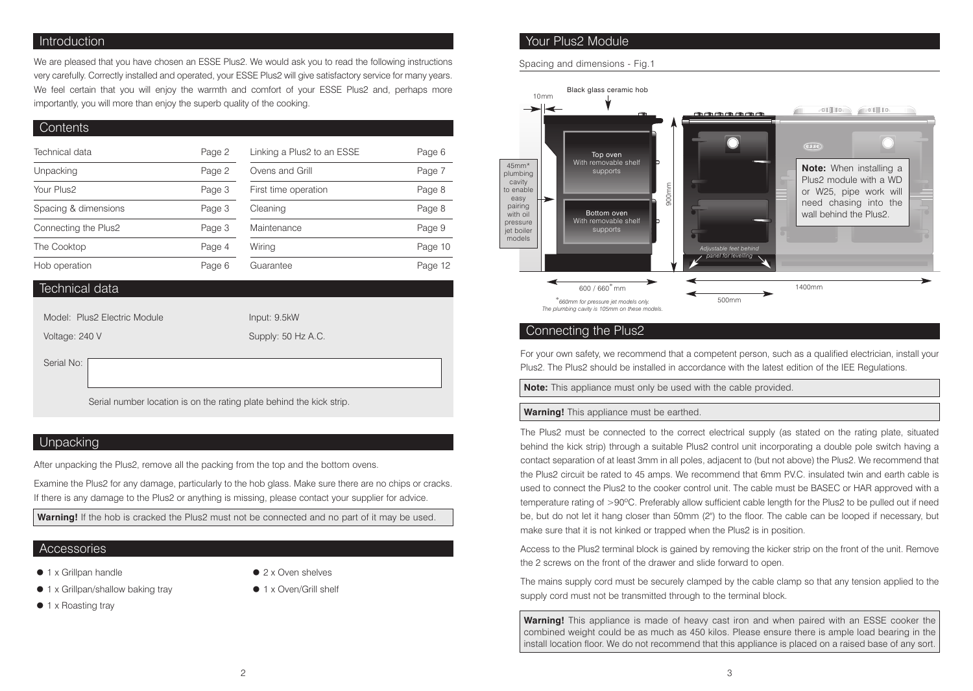We are pleased that you have chosen an ESSE Plus2. We would ask you to read the following instructions very carefully. Correctly installed and operated, your ESSE Plus2 will give satisfactory service for many years. We feel certain that you will enjoy the warmth and comfort of your ESSE Plus2 and, perhaps more importantly, you will more than enjoy the superb quality of the cooking.

# **Contents**

| Technical data       | Page 2 | Linking a Plus2 to an ESSE | Page 6  |
|----------------------|--------|----------------------------|---------|
| <b>Unpacking</b>     | Page 2 | Ovens and Grill            | Page 7  |
| Your Plus2           | Page 3 | First time operation       | Page 8  |
| Spacing & dimensions | Page 3 | Cleaning                   | Page 8  |
| Connecting the Plus2 | Page 3 | Maintenance                | Page 9  |
| The Cooktop          | Page 4 | Wiring                     | Page 10 |
| Hob operation        | Page 6 | Guarantee                  | Page 12 |

# Technical data

Model: Plus2 Electric Module

Voltage: 240 V

Input: 9.5kW Supply: 50 Hz A.C.

Serial No:

Serial number location is on the rating plate behind the kick strip.

# Unpacking

After unpacking the Plus2, remove all the packing from the top and the bottom ovens.

Examine the Plus2 for any damage, particularly to the hob glass. Make sure there are no chips or cracks. If there is any damage to the Plus2 or anything is missing, please contact your supplier for advice.

**Warning!** If the hob is cracked the Plus2 must not be connected and no part of it may be used.

# Accessories

- $\bullet$  1 x Grillpan handle
- 1 x Grillpan/shallow baking tray

• 2 x Oven shelves • 1 x Oven/Grill shelf

• 1 x Roasting tray

# Introduction Your Plus2 Module

Spacing and dimensions - Fig.1



# Connecting the Plus2

For your own safety, we recommend that a competent person, such as a qualified electrician, install your Plus2. The Plus2 should be installed in accordance with the latest edition of the IEE Regulations.

**Note:** This appliance must only be used with the cable provided.

# **Warning!** This appliance must be earthed.

The Plus2 must be connected to the correct electrical supply (as stated on the rating plate, situated behind the kick strip) through a suitable Plus2 control unit incorporating a double pole switch having a contact separation of at least 3mm in all poles, adjacent to (but not above) the Plus2. We recommend that the Plus2 circuit be rated to 45 amps. We recommend that 6mm P.V.C. insulated twin and earth cable is used to connect the Plus2 to the cooker control unit. The cable must be BASEC or HAR approved with a temperature rating of >90ºC. Preferably allow sufficient cable length for the Plus2 to be pulled out if need be, but do not let it hang closer than 50mm (2") to the floor. The cable can be looped if necessary, but make sure that it is not kinked or trapped when the Plus2 is in position.

Access to the Plus2 terminal block is gained by removing the kicker strip on the front of the unit. Remove the 2 screws on the front of the drawer and slide forward to open.

The mains supply cord must be securely clamped by the cable clamp so that any tension applied to the supply cord must not be transmitted through to the terminal block.

**Warning!** This appliance is made of heavy cast iron and when paired with an ESSE cooker the combined weight could be as much as 450 kilos. Please ensure there is ample load bearing in the install location floor. We do not recommend that this appliance is placed on a raised base of any sort.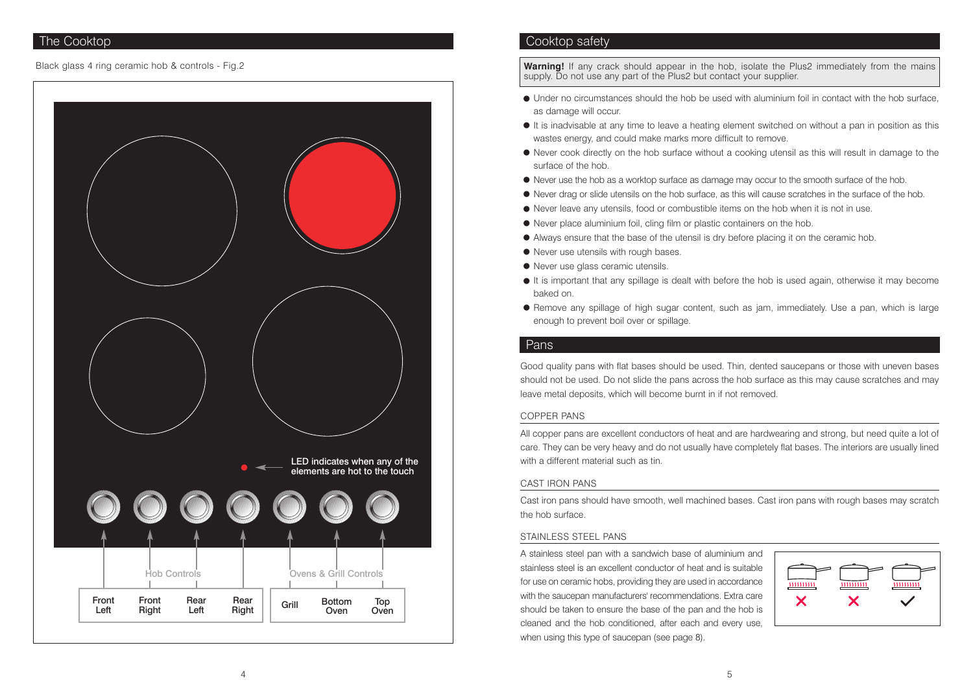

# The Cooktop Cooktop safety

Black glass 4 ring ceramic hob & controls - Fig.2 **Warning to the Marking Control Warning!** If any crack should appear in the hob, isolate the Plus2 immediately from the mains supplier.

- •Under no circumstances should the hob be used with aluminium foil in contact with the hob surface, as damage will occur.
- $\bullet$  It is inadvisable at any time to leave a heating element switched on without a pan in position as this wastes energy, and could make marks more difficult to remove.
- •Never cook directly on the hob surface without <sup>a</sup> cooking utensil as this will result in damage to the surface of the hob.
- •Never use the hob as <sup>a</sup> worktop surface as damage may occur to the smooth surface of the hob.
- •Never drag or slide utensils on the hob surface, as this will cause scratches in the surface of the hob.
- •Never leave any utensils, food or combustible items on the hob when it is not in use.
- •Never place aluminium foil, cling film or plastic containers on the hob.
- •Always ensure that the base of the utensil is dry before placing it on the ceramic hob.
- Never use utensils with rough bases.
- Never use glass ceramic utensils.
- •It is important that any spillage is dealt with before the hob is used again, otherwise it may become baked on.
- •Remove any spillage of high sugar content, such as jam, immediately. Use <sup>a</sup> pan, which is large enough to prevent boil over or spillage.

# Pans

Good quality pans with flat bases should be used. Thin, dented saucepans or those with uneven bases should not be used. Do not slide the pans across the hob surface as this may cause scratches and may leave metal deposits, which will become burnt in if not removed.

# COPPER PANS

All copper pans are excellent conductors of heat and are hardwearing and strong, but need quite a lot of care. They can be very heavy and do not usually have completely flat bases. The interiors are usually lined with a different material such as tin.

# CAST IRON PANS

Cast iron pans should have smooth, well machined bases. Cast iron pans with rough bases may scratch the hob surface.

# STAINLESS STEEL PANS

A stainless steel pan with a sandwich base of aluminium and stainless steel is an excellent conductor of heat and is suitable for use on ceramic hobs, providing they are used in accordance with the saucepan manufacturers' recommendations. Extra care should be taken to ensure the base of the pan and the hob is cleaned and the hob conditioned, after each and every use, when using this type of saucepan (see page 8).

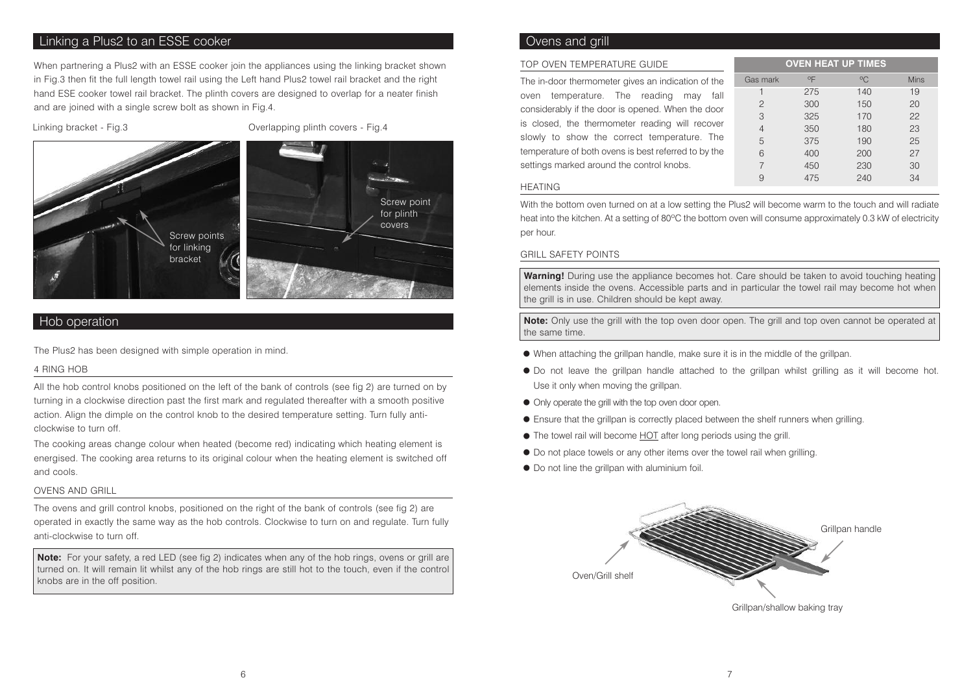# Linking a Plus2 to an ESSE cooker

When partnering a Plus2 with an ESSE cooker join the appliances using the linking bracket shown in Fig.3 then fit the full length towel rail using the Left hand Plus2 towel rail bracket and the right hand ESE cooker towel rail bracket. The plinth covers are designed to overlap for a neater finish and are joined with a single screw bolt as shown in Fig.4.

Linking bracket - Fig.3

Overlapping plinth covers - Fig.4



# Hob operation

The Plus2 has been designed with simple operation in mind.

### 4 RING HOB

All the hob control knobs positioned on the left of the bank of controls (see fig 2) are turned on by turning in a clockwise direction past the first mark and regulated thereafter with a smooth positive action. Align the dimple on the control knob to the desired temperature setting. Turn fully anticlockwise to turn off.

The cooking areas change colour when heated (become red) indicating which heating element is energised. The cooking area returns to its original colour when the heating element is switched off and cools.

# OVENS AND GRILL

The ovens and grill control knobs, positioned on the right of the bank of controls (see fig 2) are operated in exactly the same way as the hob controls. Clockwise to turn on and regulate. Turn fully anti-clockwise to turn off.

**Note:** For your safety, a red LED (see fig 2) indicates when any of the hob rings, ovens or grill are turned on. It will remain lit whilst any of the hob rings are still hot to the touch, even if the control knobs are in the off position.

# Ovens and grill

#### TOP OVEN TEMPERATURE GUIDE

The in-door thermometer gives an indication of the oven temperature. The reading may fall considerably if the door is opened. When the door is closed, the thermometer reading will recover slowly to show the correct temperature. The temperature of both ovens is best referred to by the settings marked around the control knobs. Gas mark <sup>o</sup>F <sup>o</sup>C Mins

# HEATING

With the bottom oven turned on at a low setting the Plus2 will become warm to the touch and will radiate heat into the kitchen. At a setting of 80ºC the bottom oven will consume approximately 0.3 kW of electricity per hour.

**OVEN HEAT UP TIMES**

 275 140 19 300 150 20 325 170 22 350 180 23 375 190 25 400 200 27 450 230 30 475 240 34

# GRILL SAFETY POINTS

**Warning!** During use the appliance becomes hot. Care should be taken to avoid touching heating elements inside the ovens. Accessible parts and in particular the towel rail may become hot when the grill is in use. Children should be kept away.

**Note:** Only use the grill with the top oven door open. The grill and top oven cannot be operated at the same time.

- •When attaching the grillpan handle, make sure it is in the middle of the grillpan.
- •Do not leave the grillpan handle attached to the grillpan whilst grilling as it will become hot. Use it only when moving the grillpan.
- Only operate the grill with the top oven door open.
- •Ensure that the grillpan is correctly placed between the shelf runners when grilling.
- The towel rail will become HOT after long periods using the grill.
- •Do not place towels or any other items over the towel rail when grilling.
- •Do not line the grillpan with aluminium foil.

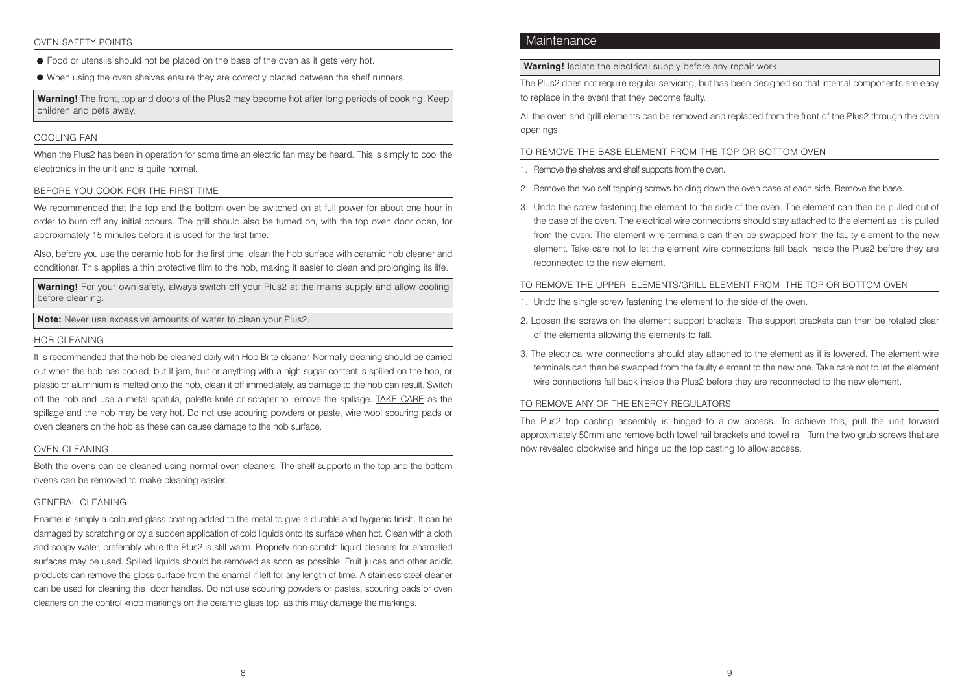# OVEN SAFETY POINTS

- •Food or utensils should not be placed on the base of the oven as it gets very hot.
- •When using the oven shelves ensure they are correctly placed between the shelf runners.

**Warning!** The front, top and doors of the Plus2 may become hot after long periods of cooking. Keep children and pets away.

# COOLING FAN

When the Plus2 has been in operation for some time an electric fan may be heard. This is simply to cool the electronics in the unit and is quite normal.

# BEFORE YOU COOK FOR THE FIRST TIME

We recommended that the top and the bottom oven be switched on at full power for about one hour in order to burn off any initial odours. The grill should also be turned on, with the top oven door open, for approximately 15 minutes before it is used for the first time.

Also, before you use the ceramic hob for the first time, clean the hob surface with ceramic hob cleaner and conditioner. This applies a thin protective film to the hob, making it easier to clean and prolonging its life.

**Warning!** For your own safety, always switch off your Plus2 at the mains supply and allow cooling before cleaning.

**Note:** Never use excessive amounts of water to clean your Plus2.

### HOB CLEANING

It is recommended that the hob be cleaned daily with Hob Brite cleaner. Normally cleaning should be carried out when the hob has cooled, but if jam, fruit or anything with a high sugar content is spilled on the hob, or plastic or aluminium is melted onto the hob, clean it off immediately, as damage to the hob can result. Switch off the hob and use a metal spatula, palette knife or scraper to remove the spillage. TAKE CARE as the spillage and the hob may be very hot. Do not use scouring powders or paste, wire wool scouring pads or oven cleaners on the hob as these can cause damage to the hob surface.

#### OVEN CLEANING

Both the ovens can be cleaned using normal oven cleaners. The shelf supports in the top and the bottom ovens can be removed to make cleaning easier.

#### GENERAL CLEANING

Enamel is simply a coloured glass coating added to the metal to give a durable and hygienic finish. It can be damaged by scratching or by a sudden application of cold liquids onto its surface when hot. Clean with a cloth and soapy water, preferably while the Plus2 is still warm. Propriety non-scratch liquid cleaners for enamelled surfaces may be used. Spilled liquids should be removed as soon as possible. Fruit juices and other acidic products can remove the gloss surface from the enamel if left for any length of time. A stainless steel cleaner can be used for cleaning the door handles. Do not use scouring powders or pastes, scouring pads or oven cleaners on the control knob markings on the ceramic glass top, as this may damage the markings.

# **Maintenance**

#### **Warning!** Isolate the electrical supply before any repair work.

The Plus2 does not require reqular servicing, but has been designed so that internal components are easy to replace in the event that they become faulty.

All the oven and grill elements can be removed and replaced from the front of the Plus2 through the oven openings.

# TO REMOVE THE BASE ELEMENT FROM THE TOP OR BOTTOM OVEN

- 1. Remove the shelves and shelf supports from the oven.
- 2. Remove the two self tapping screws holding down the oven base at each side. Remove the base.
- 3. Undo the screw fastening the element to the side of the oven. The element can then be pulled out of the base of the oven. The electrical wire connections should stay attached to the element as it is pulled from the oven. The element wire terminals can then be swapped from the faulty element to the new element. Take care not to let the element wire connections fall back inside the Plus2 before they are reconnected to the new element.

#### TO REMOVE THE UPPER ELEMENTS/GRILL ELEMENT FROM THE TOP OR BOTTOM OVEN

- 1. Undo the single screw fastening the element to the side of the oven.
- 2. Loosen the screws on the element support brackets. The support brackets can then be rotated clear of the elements allowing the elements to fall.
- 3. The electrical wire connections should stay attached to the element as it is lowered. The element wire terminals can then be swapped from the faulty element to the new one. Take care not to let the element wire connections fall back inside the Plus2 before they are reconnected to the new element.

#### TO REMOVE ANY OF THE ENERGY REGULATORS

The Pus2 top casting assembly is hinged to allow access. To achieve this, pull the unit forward approximately 50mm and remove both towel rail brackets and towel rail. Turn the two grub screws that are now revealed clockwise and hinge up the top casting to allow access.